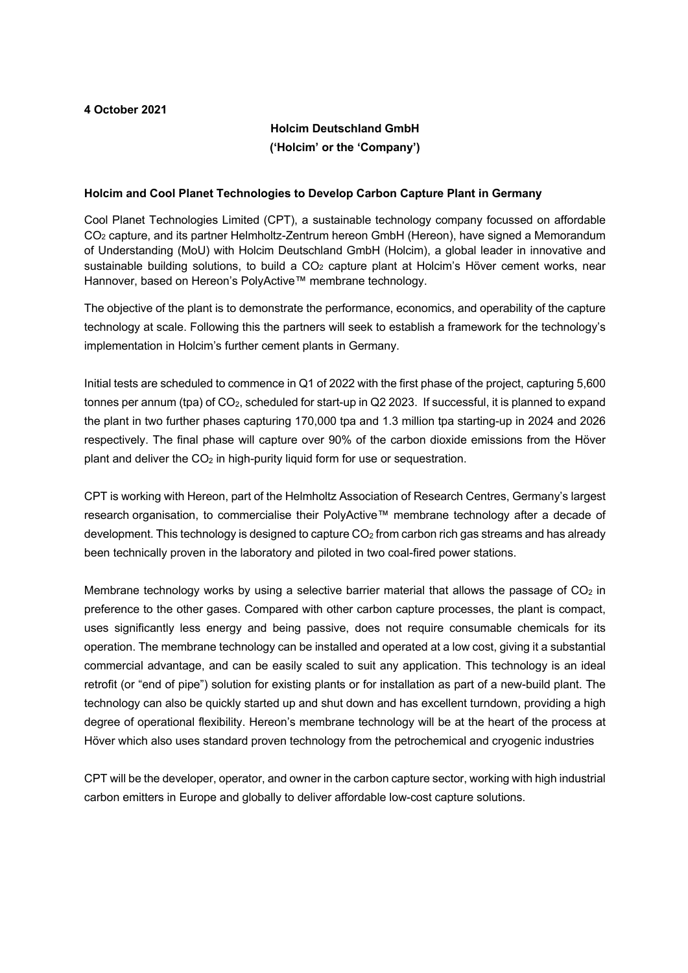# **4 October 2021**

# **Holcim Deutschland GmbH ('Holcim' or the 'Company')**

# **Holcim and Cool Planet Technologies to Develop Carbon Capture Plant in Germany**

Cool Planet Technologies Limited (CPT), a sustainable technology company focussed on affordable CO2 capture, and its partner Helmholtz-Zentrum hereon GmbH (Hereon), have signed a Memorandum of Understanding (MoU) with Holcim Deutschland GmbH (Holcim), a global leader in innovative and sustainable building solutions, to build a  $CO<sub>2</sub>$  capture plant at Holcim's Höver cement works, near Hannover, based on Hereon's PolyActive™ membrane technology.

The objective of the plant is to demonstrate the performance, economics, and operability of the capture technology at scale. Following this the partners will seek to establish a framework for the technology's implementation in Holcim's further cement plants in Germany.

Initial tests are scheduled to commence in Q1 of 2022 with the first phase of the project, capturing 5,600 tonnes per annum (tpa) of CO<sub>2</sub>, scheduled for start-up in Q2 2023. If successful, it is planned to expand the plant in two further phases capturing 170,000 tpa and 1.3 million tpa starting-up in 2024 and 2026 respectively. The final phase will capture over 90% of the carbon dioxide emissions from the Höver plant and deliver the CO2 in high-purity liquid form for use or sequestration.

CPT is working with Hereon, part of the Helmholtz Association of Research Centres, Germany's largest research organisation, to commercialise their PolyActive™ membrane technology after a decade of development. This technology is designed to capture CO<sub>2</sub> from carbon rich gas streams and has already been technically proven in the laboratory and piloted in two coal-fired power stations.

Membrane technology works by using a selective barrier material that allows the passage of  $CO<sub>2</sub>$  in preference to the other gases. Compared with other carbon capture processes, the plant is compact, uses significantly less energy and being passive, does not require consumable chemicals for its operation. The membrane technology can be installed and operated at a low cost, giving it a substantial commercial advantage, and can be easily scaled to suit any application. This technology is an ideal retrofit (or "end of pipe") solution for existing plants or for installation as part of a new-build plant. The technology can also be quickly started up and shut down and has excellent turndown, providing a high degree of operational flexibility. Hereon's membrane technology will be at the heart of the process at Höver which also uses standard proven technology from the petrochemical and cryogenic industries

CPT will be the developer, operator, and owner in the carbon capture sector, working with high industrial carbon emitters in Europe and globally to deliver affordable low-cost capture solutions.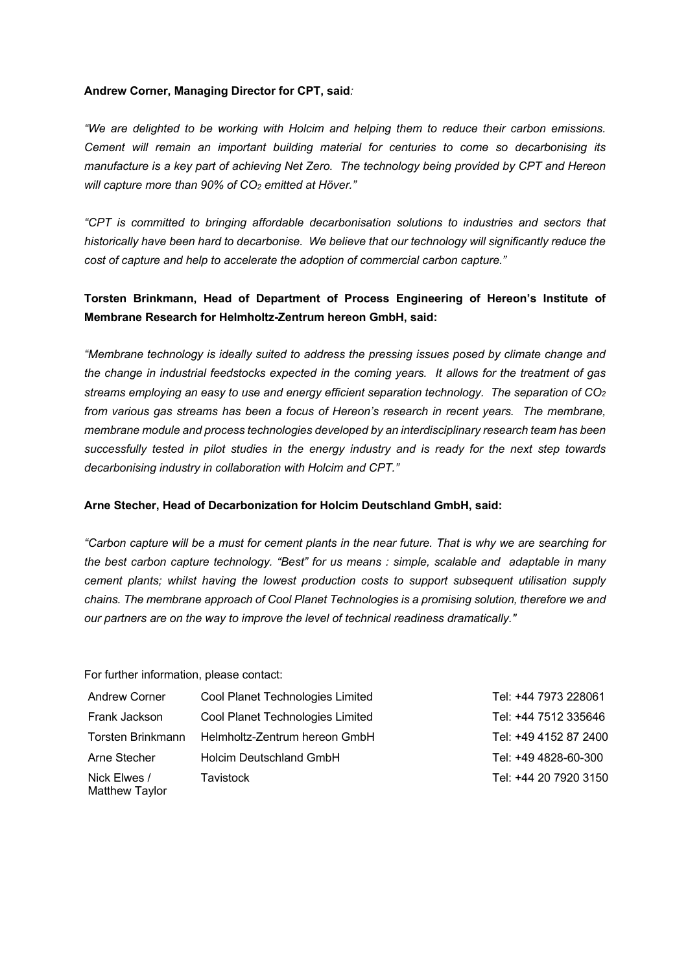### **Andrew Corner, Managing Director for CPT, said***:*

*"We are delighted to be working with Holcim and helping them to reduce their carbon emissions. Cement will remain an important building material for centuries to come so decarbonising its manufacture is a key part of achieving Net Zero. The technology being provided by CPT and Hereon will capture more than 90% of CO2 emitted at Höver."*

*"CPT is committed to bringing affordable decarbonisation solutions to industries and sectors that historically have been hard to decarbonise. We believe that our technology will significantly reduce the cost of capture and help to accelerate the adoption of commercial carbon capture."*

# **Torsten Brinkmann, Head of Department of Process Engineering of Hereon's Institute of Membrane Research for Helmholtz-Zentrum hereon GmbH, said:**

*"Membrane technology is ideally suited to address the pressing issues posed by climate change and the change in industrial feedstocks expected in the coming years. It allows for the treatment of gas streams employing an easy to use and energy efficient separation technology. The separation of CO2 from various gas streams has been a focus of Hereon's research in recent years. The membrane, membrane module and process technologies developed by an interdisciplinary research team has been successfully tested in pilot studies in the energy industry and is ready for the next step towards decarbonising industry in collaboration with Holcim and CPT."*

# **Arne Stecher, Head of Decarbonization for Holcim Deutschland GmbH, said:**

*"Carbon capture will be a must for cement plants in the near future. That is why we are searching for the best carbon capture technology. "Best" for us means : simple, scalable and adaptable in many cement plants; whilst having the lowest production costs to support subsequent utilisation supply chains. The membrane approach of Cool Planet Technologies is a promising solution, therefore we and our partners are on the way to improve the level of technical readiness dramatically."*

For further information, please contact:

| <b>Andrew Corner</b>           | Cool Planet Technologies Limited | Tel: +44 7973 228061  |
|--------------------------------|----------------------------------|-----------------------|
| Frank Jackson                  | Cool Planet Technologies Limited | Tel: +44 7512 335646  |
| Torsten Brinkmann              | Helmholtz-Zentrum hereon GmbH    | Tel: +49 4152 87 2400 |
| Arne Stecher                   | <b>Holcim Deutschland GmbH</b>   | Tel: +49 4828-60-300  |
| Nick Elwes /<br>Matthew Tavlor | Tavistock                        | Tel: +44 20 7920 3150 |